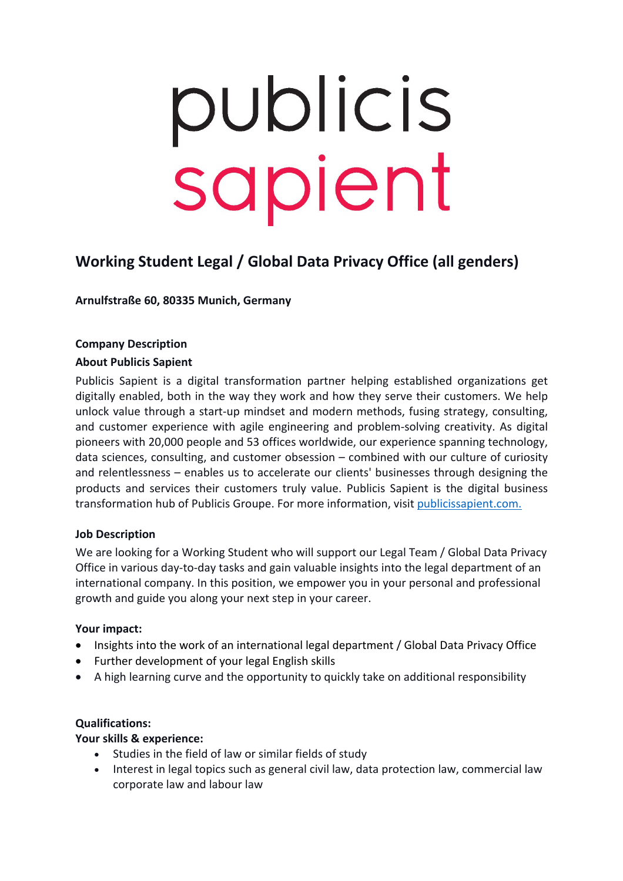# publicis<br>sapient

# **Working Student Legal / Global Data Privacy Office (all genders)**

**Arnulfstraße 60, 80335 Munich, Germany**

### **Company Description**

### **About Publicis Sapient**

Publicis Sapient is a digital transformation partner helping established organizations get digitally enabled, both in the way they work and how they serve their customers. We help unlock value through a start-up mindset and modern methods, fusing strategy, consulting, and customer experience with agile engineering and problem-solving creativity. As digital pioneers with 20,000 people and 53 offices worldwide, our experience spanning technology, data sciences, consulting, and customer obsession – combined with our culture of curiosity and relentlessness – enables us to accelerate our clients' businesses through designing the products and services their customers truly value. Publicis Sapient is the digital business transformation hub of Publicis Groupe. For more information, visit publicissapient.com.

### **Job Description**

We are looking for a Working Student who will support our Legal Team / Global Data Privacy Office in various day-to-day tasks and gain valuable insights into the legal department of an international company. In this position, we empower you in your personal and professional growth and guide you along your next step in your career.

### **Your impact:**

- Insights into the work of an international legal department / Global Data Privacy Office
- Further development of your legal English skills
- A high learning curve and the opportunity to quickly take on additional responsibility

### **Qualifications:**

### **Your skills & experience:**

- Studies in the field of law or similar fields of study
- Interest in legal topics such as general civil law, data protection law, commercial law corporate law and labour law